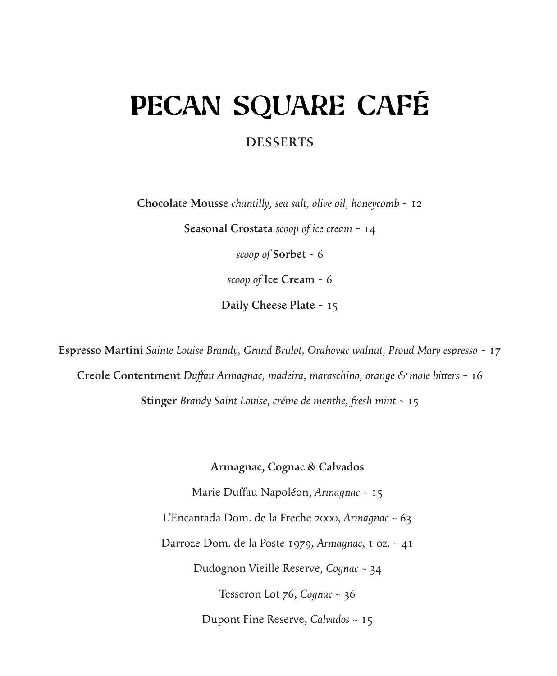## PECAN SQUARE CAFÉ

## **DESSERTS**

**Chocolate Mousse** *chantilly, sea salt, olive oil, honeycomb* ~ 12

**Seasonal Crostata** *scoop of ice cream* ~ 14

*scoop of* **Sorbet** ~ 6

*scoop of* **Ice Cream** ~ 6

**Daily Cheese Plate** ~ 15

**Espresso Martini** *Sainte Louise Brandy, Grand Brulot, Orahovac walnut, Proud Mary espresso* ~ 17 **Creole Contentment** *Duffau Armagnac, madeira, maraschino, orange & mole bitters* ~ 16 **Stinger** *Brandy Saint Louise, créme de menthe, fresh mint* ~ 15

**Armagnac, Cognac & Calvados**

Marie Duffau Napoléon, *Armagnac* ~ 15 L'Encantada Dom. de la Freche 2000, *Armagnac* ~ 63 Darroze Dom. de la Poste 1979, *Armagnac*, 1 oz. ~ 41 Dudognon Vieille Reserve, *Cognac* ~ 34 Tesseron Lot 76, *Cognac* ~ 36 Dupont Fine Reserve, *Calvados* ~ 15